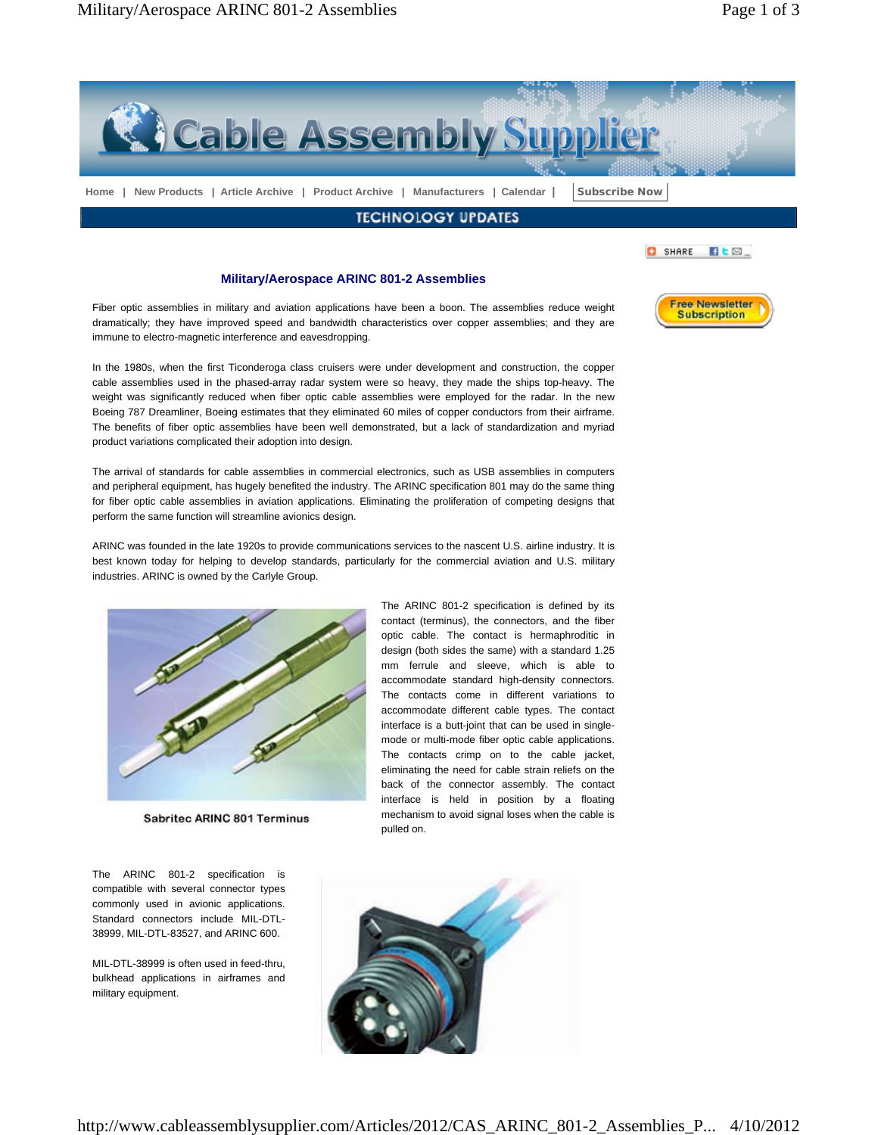

best known today for helping to develop standards, particularly for the commercial aviation and U.S. military industries. ARINC is owned by the Carlyle Group.



**Sabritec ARINC 801 Terminus** 

The ARINC 801-2 specification is compatible with several connector types commonly used in avionic applications. Standard connectors include MIL-DTL-38999, MIL-DTL-83527, and ARINC 600.

MIL-DTL-38999 is often used in feed-thru, bulkhead applications in airframes and military equipment.

The ARINC 801-2 specification is defined by its contact (terminus), the connectors, and the fiber optic cable. The contact is hermaphroditic in design (both sides the same) with a standard 1.25 mm ferrule and sleeve, which is able to accommodate standard high-density connectors. The contacts come in different variations to accommodate different cable types. The contact interface is a butt-joint that can be used in singlemode or multi-mode fiber optic cable applications. The contacts crimp on to the cable jacket, eliminating the need for cable strain reliefs on the back of the connector assembly. The contact interface is held in position by a floating mechanism to avoid signal loses when the cable is pulled on.

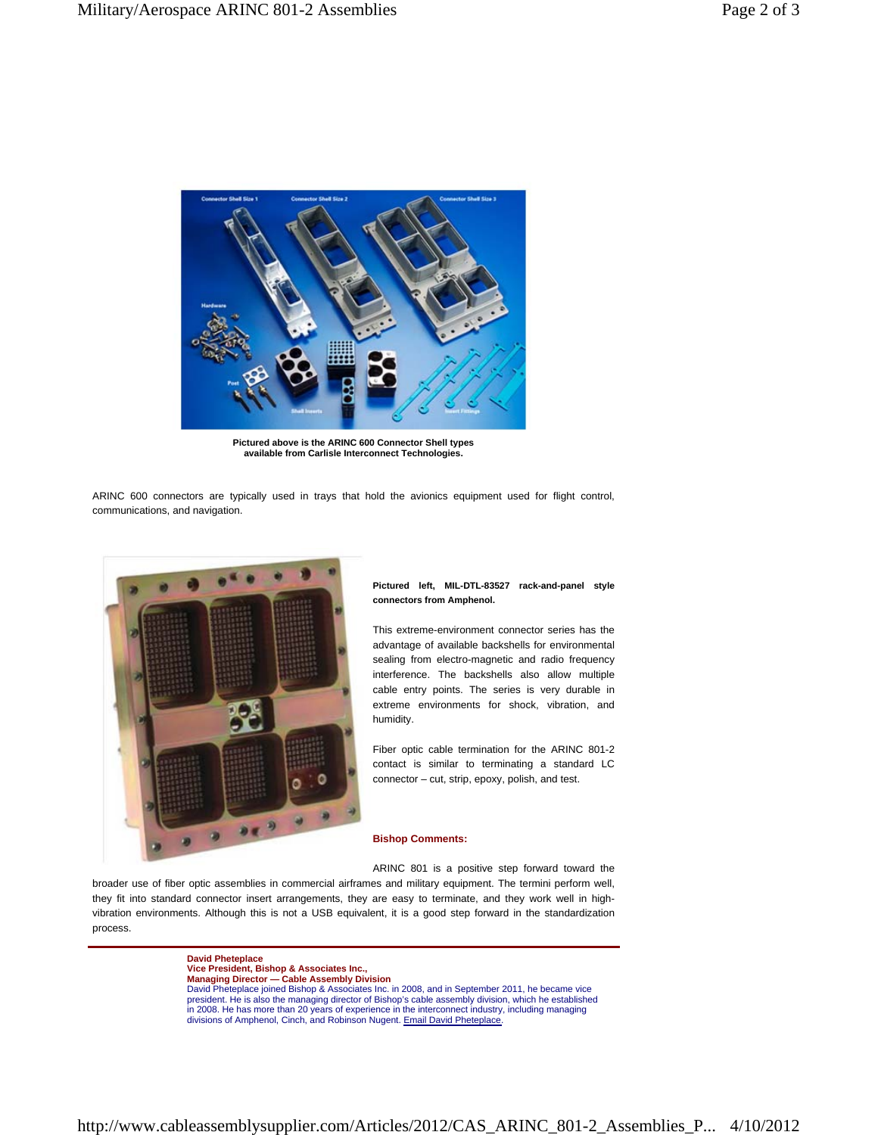

**Pictured above is the ARINC 600 Connector Shell types available from Carlisle Interconnect Technologies.**

ARINC 600 connectors are typically used in trays that hold the avionics equipment used for flight control, communications, and navigation.



## **Pictured left, MIL-DTL-83527 rack-and-panel style connectors from Amphenol.**

This extreme-environment connector series has the advantage of available backshells for environmental sealing from electro-magnetic and radio frequency interference. The backshells also allow multiple cable entry points. The series is very durable in extreme environments for shock, vibration, and humidity.

Fiber optic cable termination for the ARINC 801-2 contact is similar to terminating a standard LC connector – cut, strip, epoxy, polish, and test.

## **Bishop Comments:**

ARINC 801 is a positive step forward toward the

broader use of fiber optic assemblies in commercial airframes and military equipment. The termini perform well, they fit into standard connector insert arrangements, they are easy to terminate, and they work well in highvibration environments. Although this is not a USB equivalent, it is a good step forward in the standardization process.

> **David Pheteplace Vice President, Bishop & Associates Inc., Managing Director — Cable Assembly Division** David Pheteplace joined Bishop & Associates Inc. in 2008, and in September 2011, he became vice president. He is also the managing director of Bishop's cable assembly division, which he established in 2008. He has more than 20 years of experience in the interconnect industry, including managing divisions of Amphenol, Cinch, and Robinson Nugent. Email David Pheteplace